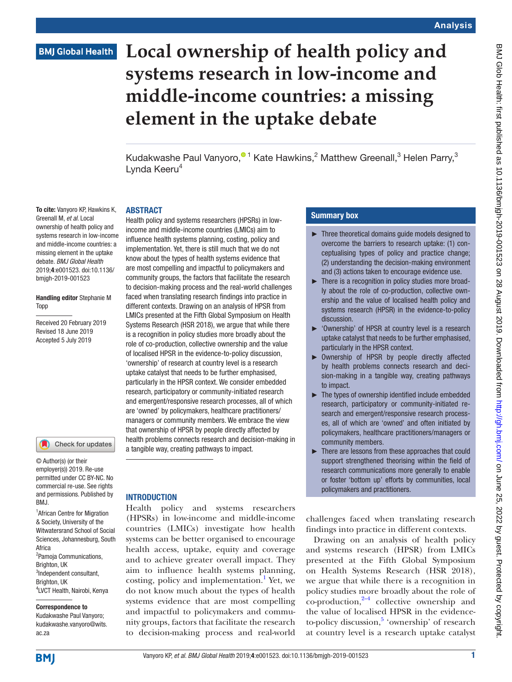# **BMJ Global Health**

# **Local ownership of health policy and systems research in low-income and middle-income countries: a missing element in the uptake debate**

Kudakwashe Paul Vanyoro[,](http://orcid.org/0000-0002-0379-2600) $^{\circ}$ <sup>1</sup> Kate Hawkins,<sup>2</sup> Matthew Greenall,<sup>3</sup> Helen Parry,<sup>3</sup> Lynda Keeru $4$ 

#### **ARSTRACT**

To cite: Vanyoro KP, Hawkins K, Greenall M, *et al*. Local ownership of health policy and systems research in low-income and middle-income countries: a missing element in the uptake debate. *BMJ Global Health* 2019;4:e001523. doi:10.1136/ bmjgh-2019-001523

#### Handling editor Stephanie M Topp

Received 20 February 2019 Revised 18 June 2019 Accepted 5 July 2019



© Author(s) (or their employer(s)) 2019. Re-use permitted under CC BY-NC. No commercial re-use. See rights and permissions. Published by BMJ.

<sup>1</sup> African Centre for Migration & Society, University of the Witwatersrand School of Social Sciences, Johannesburg, South Africa <sup>2</sup>Pamoja Communications, Brighton, UK 3 Independent consultant, Brighton, UK 4 LVCT Health, Nairobi, Kenya

#### Correspondence to

Kudakwashe Paul Vanyoro; kudakwashe.vanyoro@wits. ac.za

Health policy and systems researchers (HPSRs) in lowincome and middle-income countries (LMICs) aim to influence health systems planning, costing, policy and implementation. Yet, there is still much that we do not know about the types of health systems evidence that are most compelling and impactful to policymakers and community groups, the factors that facilitate the research to decision-making process and the real-world challenges faced when translating research findings into practice in different contexts. Drawing on an analysis of HPSR from LMICs presented at the Fifth Global Symposium on Health Systems Research (HSR 2018), we argue that while there is a recognition in policy studies more broadly about the role of co-production, collective ownership and the value of localised HPSR in the evidence-to-policy discussion, 'ownership' of research at country level is a research uptake catalyst that needs to be further emphasised, particularly in the HPSR context. We consider embedded research, participatory or community-initiated research and emergent/responsive research processes, all of which are 'owned' by policymakers, healthcare practitioners/ managers or community members. We embrace the view that ownership of HPSR by people directly affected by health problems connects research and decision-making in a tangible way, creating pathways to impact.

### **INTRODUCTION**

Health policy and systems researchers (HPSRs) in low-income and middle-income countries (LMICs) investigate how health systems can be better organised to encourage health access, uptake, equity and coverage and to achieve greater overall impact. They aim to influence health systems planning, costing, policy and implementation.<sup>1</sup> Yet, we do not know much about the types of health systems evidence that are most compelling and impactful to policymakers and community groups, factors that facilitate the research to decision-making process and real-world

#### Summary box

- ► Three theoretical domains guide models designed to overcome the barriers to research uptake: (1) conceptualising types of policy and practice change; (2) understanding the decision-making environment and (3) actions taken to encourage evidence use.
- ► There is a recognition in policy studies more broadly about the role of co-production, collective ownership and the value of localised health policy and systems research (HPSR) in the evidence-to-policy discussion.
- ► 'Ownership' of HPSR at country level is a research uptake catalyst that needs to be further emphasised, particularly in the HPSR context.
- ► Ownership of HPSR by people directly affected by health problems connects research and decision-making in a tangible way, creating pathways to impact.
- ► The types of ownership identified include embedded research, participatory or community-initiated research and emergent/responsive research processes, all of which are 'owned' and often initiated by policymakers, healthcare practitioners/managers or community members.
- ► There are lessons from these approaches that could support strengthened theorising within the field of research communications more generally to enable or foster 'bottom up' efforts by communities, local policymakers and practitioners.

challenges faced when translating research findings into practice in different contexts.

Drawing on an analysis of health policy and systems research (HPSR) from LMICs presented at the Fifth Global Symposium on Health Systems Research (HSR 2018), we argue that while there is a recognition in policy studies more broadly about the role of  $\overline{\text{co-production}}^2$ , collective ownership and the value of localised HPSR in the evidence-to-policy discussion,<sup>[5](#page-4-2)</sup> 'ownership' of research at country level is a research uptake catalyst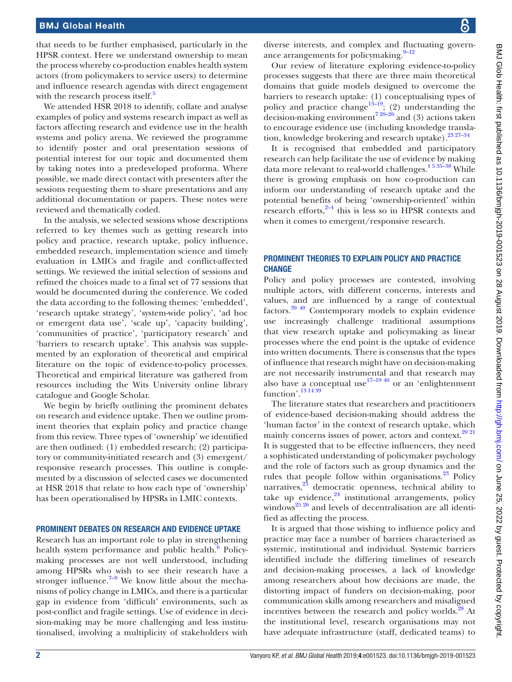that needs to be further emphasised, particularly in the HPSR context. Here we understand ownership to mean the process whereby co-production enables health system actors (from policymakers to service users) to determine and influence research agendas with direct engagement with the research process itself.<sup>5</sup>

We attended HSR 2018 to identify, collate and analyse examples of policy and systems research impact as well as factors affecting research and evidence use in the health systems and policy arena. We reviewed the programme to identify poster and oral presentation sessions of potential interest for our topic and documented them by taking notes into a predeveloped proforma. Where possible, we made direct contact with presenters after the sessions requesting them to share presentations and any additional documentation or papers. These notes were reviewed and thematically coded.

In the analysis, we selected sessions whose descriptions referred to key themes such as getting research into policy and practice, research uptake, policy influence, embedded research, implementation science and timely evaluation in LMICs and fragile and conflict-affected settings. We reviewed the initial selection of sessions and refined the choices made to a final set of 77 sessions that would be documented during the conference. We coded the data according to the following themes: 'embedded', 'research uptake strategy', 'system-wide policy', 'ad hoc or emergent data use', 'scale up', 'capacity building', 'communities of practice', 'participatory research' and 'barriers to research uptake'. This analysis was supplemented by an exploration of theoretical and empirical literature on the topic of evidence-to-policy processes. Theoretical and empirical literature was gathered from resources including the Wits University online library catalogue and Google Scholar.

We begin by briefly outlining the prominent debates on research and evidence uptake. Then we outline prominent theories that explain policy and practice change from this review. Three types of 'ownership' we identified are then outlined: (1) embedded research; (2) participatory or community-initiated research and (3) emergent/ responsive research processes. This outline is complemented by a discussion of selected cases we documented at HSR 2018 that relate to how each type of 'ownership' has been operationalised by HPSRs in LMIC contexts.

#### Prominent debates on research and evidence uptake

Research has an important role to play in strengthening health system performance and public health.<sup>6</sup> Policymaking processes are not well understood, including among HPSRs who wish to see their research have a stronger influence. $7-9$  We know little about the mechanisms of policy change in LMICs, and there is a particular gap in evidence from 'difficult' environments, such as post-conflict and fragile settings. Use of evidence in decision-making may be more challenging and less institutionalised, involving a multiplicity of stakeholders with

diverse interests, and complex and fluctuating governance arrangements for policymaking. $9-12$ 

Our review of literature exploring evidence-to-policy processes suggests that there are three main theoretical domains that guide models designed to overcome the barriers to research uptake: (1) conceptualising types of policy and practice change<sup>13–19</sup>; (2) understanding the decision-making environment<sup>7 20–26</sup> and (3) actions taken to encourage evidence use (including knowledge translation, knowledge brokering and research uptake). $23\frac{27-34}{5}$ 

It is recognised that embedded and participatory research can help facilitate the use of evidence by making data more relevant to real-world challenges.<sup>15 35-38</sup> While there is growing emphasis on how co-production can inform our understanding of research uptake and the potential benefits of being 'ownership-oriented' within research efforts, $2-4$  this is less so in HPSR contexts and when it comes to emergent/responsive research.

#### Prominent theories to explain policy and practice **CHANGE**

Policy and policy processes are contested, involving multiple actors, with different concerns, interests and values, and are influenced by a range of contextual factors.[39 40](#page-5-1) Contemporary models to explain evidence use increasingly challenge traditional assumptions that view research uptake and policymaking as linear processes where the end point is the uptake of evidence into written documents. There is consensus that the types of influence that research might have on decision-making are not necessarily instrumental and that research may also have a conceptual use  $17-19/40$  or an 'enlightenment' function'.[13 14 39](#page-4-6)

The literature states that researchers and practitioners of evidence-based decision-making should address the 'human factor' in the context of research uptake, which mainly concerns issues of power, actors and context.<sup>20 21</sup> It is suggested that to be effective influencers, they need a sophisticated understanding of policymaker psychology and the role of factors such as group dynamics and the rules that people follow within organisations. $^{23}$  $^{23}$  $^{23}$  Policy narratives, $23$  democratic openness, technical ability to take up evidence, $24$  institutional arrangements, policy windows $^{25}$   $^{26}$  and levels of decentralisation are all identified as affecting the process.

It is argued that those wishing to influence policy and practice may face a number of barriers characterised as systemic, institutional and individual. Systemic barriers identified include the differing timelines of research and decision-making processes, a lack of knowledge among researchers about how decisions are made, the distorting impact of funders on decision-making, poor communication skills among researchers and misaligned incentives between the research and policy worlds.<sup>28</sup> At the institutional level, research organisations may not have adequate infrastructure (staff, dedicated teams) to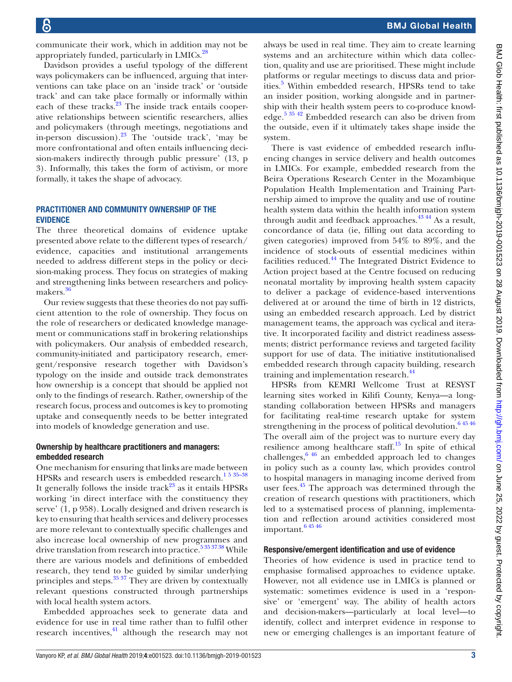communicate their work, which in addition may not be appropriately funded, particularly in LMICs.<sup>28</sup>

Davidson provides a useful typology of the different ways policymakers can be influenced, arguing that interventions can take place on an 'inside track' or 'outside track' and can take place formally or informally within each of these tracks. $23$  The inside track entails cooperative relationships between scientific researchers, allies and policymakers (through meetings, negotiations and in-person discussion). $^{23}$  The 'outside track', 'may be more confrontational and often entails influencing decision-makers indirectly through public pressure' (13, p 3). Informally, this takes the form of activism, or more formally, it takes the shape of advocacy.

## Practitioner and community ownership of the **EVIDENCE**

The three theoretical domains of evidence uptake presented above relate to the different types of research/ evidence, capacities and institutional arrangements needed to address different steps in the policy or decision-making process. They focus on strategies of making and strengthening links between researchers and policy-makers.<sup>[36](#page-5-5)</sup>

Our review suggests that these theories do not pay sufficient attention to the role of ownership. They focus on the role of researchers or dedicated knowledge management or communications staff in brokering relationships with policymakers. Our analysis of embedded research, community-initiated and participatory research, emergent/responsive research together with Davidson's typology on the inside and outside track demonstrates how ownership is a concept that should be applied not only to the findings of research. Rather, ownership of the research focus, process and outcomes is key to promoting uptake and consequently needs to be better integrated into models of knowledge generation and use.

### Ownership by healthcare practitioners and managers: embedded research

One mechanism for ensuring that links are made between HPSRs and research users is embedded research.<sup>1 5 35-38</sup> It generally follows the inside track<sup>23</sup> as it entails HPSRs working 'in direct interface with the constituency they serve' (1, p 958). Locally designed and driven research is key to ensuring that health services and delivery processes are more relevant to contextually specific challenges and also increase local ownership of new programmes and drive translation from research into practice.<sup>5353738</sup> While there are various models and definitions of embedded research, they tend to be guided by similar underlying principles and steps[.35 37](#page-5-6) They are driven by contextually relevant questions constructed through partnerships with local health system actors.

Embedded approaches seek to generate data and evidence for use in real time rather than to fulfil other research incentives, $\frac{41}{1}$  although the research may not

always be used in real time. They aim to create learning systems and an architecture within which data collection, quality and use are prioritised. These might include platforms or regular meetings to discuss data and prior-ities.<sup>[5](#page-4-2)</sup> Within embedded research, HPSRs tend to take an insider position, working alongside and in partnership with their health system peers to co-produce knowledge.[5 35 42](#page-4-2) Embedded research can also be driven from the outside, even if it ultimately takes shape inside the system.

There is vast evidence of embedded research influencing changes in service delivery and health outcomes in LMICs. For example, embedded research from the Beira Operations Research Center in the Mozambique Population Health Implementation and Training Partnership aimed to improve the quality and use of routine health system data within the health information system through audit and feedback approaches.<sup>43 44</sup> As a result, concordance of data (ie, filling out data according to given categories) improved from 54% to 89%, and the incidence of stock-outs of essential medicines within facilities reduced.<sup>44</sup> The Integrated District Evidence to Action project based at the Centre focused on reducing neonatal mortality by improving health system capacity to deliver a package of evidence‐based interventions delivered at or around the time of birth in 12 districts, using an embedded research approach. Led by district management teams, the approach was cyclical and iterative. It incorporated facility and district readiness assessments; district performance reviews and targeted facility support for use of data. The initiative institutionalised embedded research through capacity building, research training and implementation research.<sup>[44](#page-5-9)</sup>

HPSRs from KEMRI Wellcome Trust at RESYST learning sites worked in Kilifi County, Kenya—a longstanding collaboration between HPSRs and managers for facilitating real-time research uptake for system strengthening in the process of political devolution.<sup>[6 45 46](#page-4-3)</sup> The overall aim of the project was to nurture every day resilience among healthcare staff.<sup>[15](#page-4-9)</sup> In spite of ethical challenges, $646$  an embedded approach led to changes in policy such as a county law, which provides control to hospital managers in managing income derived from user fees. $45$  The approach was determined through the creation of research questions with practitioners, which led to a systematised process of planning, implementation and reflection around activities considered most important.<sup>64546</sup>

#### Responsive/emergent identification and use of evidence

Theories of how evidence is used in practice tend to emphasise formalised approaches to evidence uptake. However, not all evidence use in LMICs is planned or systematic: sometimes evidence is used in a 'responsive' or 'emergent' way. The ability of health actors and decision-makers—particularly at local level—to identify, collect and interpret evidence in response to new or emerging challenges is an important feature of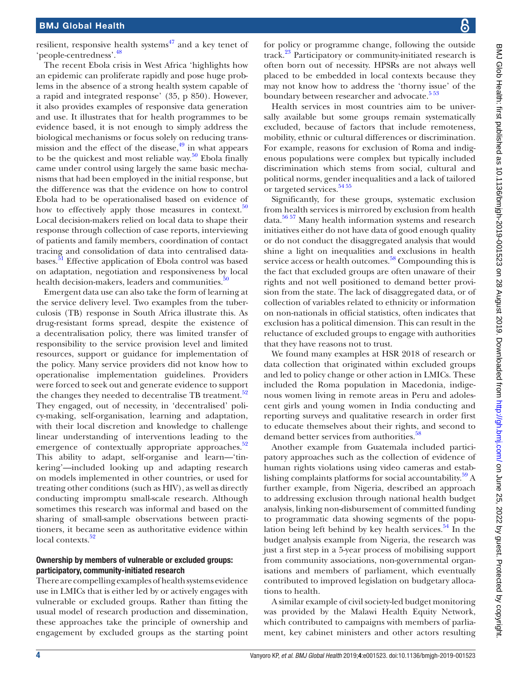resilient, responsive health systems $47$  and a key tenet of 'people-centredness'.[48](#page-5-12)

The recent Ebola crisis in West Africa 'highlights how an epidemic can proliferate rapidly and pose huge problems in the absence of a strong health system capable of a rapid and integrated response' (35, p 850). However, it also provides examples of responsive data generation and use. It illustrates that for health programmes to be evidence based, it is not enough to simply address the biological mechanisms or focus solely on reducing transmission and the effect of the disease,  $49$  in what appears to be the quickest and most reliable way.<sup>50</sup> Ebola finally came under control using largely the same basic mechanisms that had been employed in the initial response, but the difference was that the evidence on how to control Ebola had to be operationalised based on evidence of how to effectively apply those measures in context. $50$ Local decision-makers relied on local data to shape their response through collection of case reports, interviewing of patients and family members, coordination of contact tracing and consolidation of data into centralised data-bases.<sup>[51](#page-5-15)</sup> Effective application of Ebola control was based on adaptation, negotiation and responsiveness by local health decision-makers, leaders and communities.<sup>[50](#page-5-14)</sup>

Emergent data use can also take the form of learning at the service delivery level. Two examples from the tuberculosis (TB) response in South Africa illustrate this. As drug-resistant forms spread, despite the existence of a decentralisation policy, there was limited transfer of responsibility to the service provision level and limited resources, support or guidance for implementation of the policy. Many service providers did not know how to operationalise implementation guidelines. Providers were forced to seek out and generate evidence to support the changes they needed to decentralise TB treatment.<sup>[52](#page-5-16)</sup> They engaged, out of necessity, in 'decentralised' policy-making, self-organisation, learning and adaptation, with their local discretion and knowledge to challenge linear understanding of interventions leading to the emergence of contextually appropriate approaches.<sup>[52](#page-5-16)</sup> This ability to adapt, self-organise and learn—'tinkering'—included looking up and adapting research on models implemented in other countries, or used for treating other conditions (such as HIV), as well as directly conducting impromptu small-scale research. Although sometimes this research was informal and based on the sharing of small-sample observations between practitioners, it became seen as authoritative evidence within local contexts.<sup>[52](#page-5-16)</sup>

#### Ownership by members of vulnerable or excluded groups: participatory, community-initiated research

There are compelling examples of health systems evidence use in LMICs that is either led by or actively engages with vulnerable or excluded groups. Rather than fitting the usual model of research production and dissemination, these approaches take the principle of ownership and engagement by excluded groups as the starting point

for policy or programme change, following the outside track[.23](#page-5-0) Participatory or community-initiated research is often born out of necessity. HPSRs are not always well placed to be embedded in local contexts because they may not know how to address the 'thorny issue' of the boundary between researcher and advocate.<sup>553</sup>

Health services in most countries aim to be universally available but some groups remain systematically excluded, because of factors that include remoteness, mobility, ethnic or cultural differences or discrimination. For example, reasons for exclusion of Roma and indigenous populations were complex but typically included discrimination which stems from social, cultural and political norms, gender inequalities and a lack of tailored or targeted services.<sup>[54 55](#page-5-17)</sup>

Significantly, for these groups, systematic exclusion from health services is mirrored by exclusion from health data.<sup>56 57</sup> Many health information systems and research initiatives either do not have data of good enough quality or do not conduct the disaggregated analysis that would shine a light on inequalities and exclusions in health service access or health outcomes. $58$  Compounding this is the fact that excluded groups are often unaware of their rights and not well positioned to demand better provision from the state. The lack of disaggregated data, or of collection of variables related to ethnicity or information on non-nationals in official statistics, often indicates that exclusion has a political dimension. This can result in the reluctance of excluded groups to engage with authorities that they have reasons not to trust.

We found many examples at HSR 2018 of research or data collection that originated within excluded groups and led to policy change or other action in LMICs. These included the Roma population in Macedonia, indigenous women living in remote areas in Peru and adolescent girls and young women in India conducting and reporting surveys and qualitative research in order first to educate themselves about their rights, and second to demand better services from authorities.<sup>5</sup>

Another example from Guatemala included participatory approaches such as the collection of evidence of human rights violations using video cameras and establishing complaints platforms for social accountability. $59$  A further example, from Nigeria, described an approach to addressing exclusion through national health budget analysis, linking non-disbursement of committed funding to programmatic data showing segments of the population being left behind by key health services. $54$  In the budget analysis example from Nigeria, the research was just a first step in a 5-year process of mobilising support from community associations, non-governmental organisations and members of parliament, which eventually contributed to improved legislation on budgetary allocations to health.

A similar example of civil society-led budget monitoring was provided by the Malawi Health Equity Network, which contributed to campaigns with members of parliament, key cabinet ministers and other actors resulting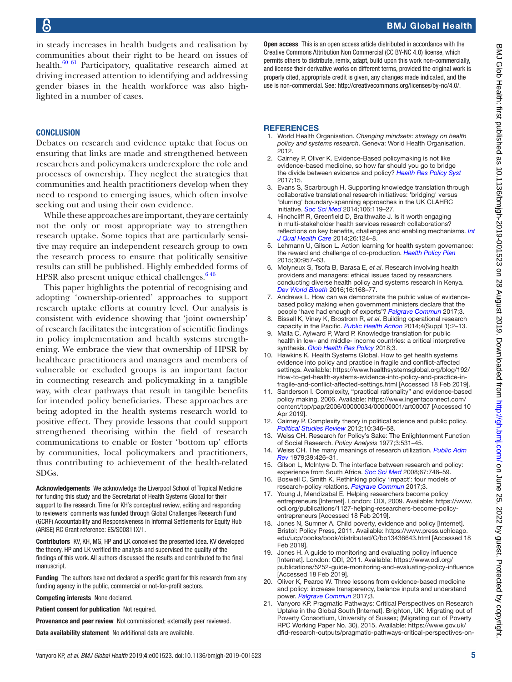in steady increases in health budgets and realisation by communities about their right to be heard on issues of health.<sup>60 61</sup> Participatory, qualitative research aimed at driving increased attention to identifying and addressing gender biases in the health workforce was also highlighted in a number of cases.

### **CONCLUSION**

Debates on research and evidence uptake that focus on ensuring that links are made and strengthened between researchers and policymakers underexplore the role and processes of ownership. They neglect the strategies that communities and health practitioners develop when they need to respond to emerging issues, which often involve seeking out and using their own evidence.

While these approaches are important, they are certainly not the only or most appropriate way to strengthen research uptake. Some topics that are particularly sensitive may require an independent research group to own the research process to ensure that politically sensitive results can still be published. Highly embedded forms of HPSR also present unique ethical challenges. $646$ 

This paper highlights the potential of recognising and adopting 'ownership-oriented' approaches to support research uptake efforts at country level. Our analysis is consistent with evidence showing that 'joint ownership' of research facilitates the integration of scientific findings in policy implementation and health systems strengthening. We embrace the view that ownership of HPSR by healthcare practitioners and managers and members of vulnerable or excluded groups is an important factor in connecting research and policymaking in a tangible way, with clear pathways that result in tangible benefits for intended policy beneficiaries. These approaches are being adopted in the health systems research world to positive effect. They provide lessons that could support strengthened theorising within the field of research communications to enable or foster 'bottom up' efforts by communities, local policymakers and practitioners, thus contributing to achievement of the health-related SDGs.

Acknowledgements We acknowledge the Liverpool School of Tropical Medicine for funding this study and the Secretariat of Health Systems Global for their support to the research. Time for KH's conceptual review, editing and responding to reviewers' comments was funded through Global Challenges Research Fund (GCRF) Accountability and Responsiveness in Informal Settlements for Equity Hub (ARISE) RC Grant reference: ES/S00811X/1.

Contributors KV, KH, MG, HP and LK conceived the presented idea. KV developed the theory. HP and LK verified the analysis and supervised the quality of the findings of this work. All authors discussed the results and contributed to the final manuscript.

Funding The authors have not declared a specific grant for this research from any funding agency in the public, commercial or not-for-profit sectors.

Competing interests None declared.

Patient consent for publication Not required.

Provenance and peer review Not commissioned; externally peer reviewed.

Data availability statement No additional data are available.

Open access This is an open access article distributed in accordance with the Creative Commons Attribution Non Commercial (CC BY-NC 4.0) license, which permits others to distribute, remix, adapt, build upon this work non-commercially, and license their derivative works on different terms, provided the original work is properly cited, appropriate credit is given, any changes made indicated, and the use is non-commercial. See:<http://creativecommons.org/licenses/by-nc/4.0/>.

#### **REFERENCES**

- <span id="page-4-0"></span>1. World Health Organisation. *Changing mindsets: strategy on health policy and systems research*. Geneva: World Health Organisation, 2012.
- <span id="page-4-1"></span>2. Cairney P, Oliver K. Evidence-Based policymaking is not like evidence-based medicine, so how far should you go to bridge the divide between evidence and policy? *[Health Res Policy Syst](http://dx.doi.org/10.1186/s12961-017-0192-x)* 2017;15.
- 3. Evans S, Scarbrough H. Supporting knowledge translation through collaborative translational research initiatives: 'bridging' versus 'blurring' boundary-spanning approaches in the UK CLAHRC initiative. *[Soc Sci Med](http://dx.doi.org/10.1016/j.socscimed.2014.01.025)* 2014;106:119–27.
- 4. Hinchcliff R, Greenfield D, Braithwaite J. Is it worth engaging in multi-stakeholder health services research collaborations? reflections on key benefits, challenges and enabling mechanisms. *[Int](http://dx.doi.org/10.1093/intqhc/mzu009)  [J Qual Health Care](http://dx.doi.org/10.1093/intqhc/mzu009)* 2014;26:124–8.
- <span id="page-4-2"></span>5. Lehmann U, Gilson L. Action learning for health system governance: the reward and challenge of co-production. *[Health Policy Plan](http://dx.doi.org/10.1093/heapol/czu097)* 2015;30:957–63.
- <span id="page-4-3"></span>6. Molyneux S, Tsofa B, Barasa E, *et al*. Research involving health providers and managers: ethical issues faced by researchers conducting diverse health policy and systems research in Kenya. *[Dev World Bioeth](http://dx.doi.org/10.1111/dewb.12130)* 2016;16:168–77.
- <span id="page-4-4"></span>7. Andrews L. How can we demonstrate the public value of evidencebased policy making when government ministers declare that the people 'have had enough of experts'? *[Palgrave Commun](http://dx.doi.org/10.1057/s41599-017-0013-4)* 2017;3.
- 8. Bissell K, Viney K, Brostrom R, *et al*. Building operational research capacity in the Pacific. *[Public Health Action](http://dx.doi.org/10.5588/pha.13.0091)* 2014;4(Suppl 1):2–13.
- <span id="page-4-5"></span>9. Malla C, Aylward P, Ward P. Knowledge translation for public health in low- and middle- income countries: a critical interpretive synthesis. *[Glob Health Res Policy](http://dx.doi.org/10.1186/s41256-018-0084-9)* 2018;3.
- 10. Hawkins K, Health Systems Global. How to get health systems evidence into policy and practice in fragile and conflict-affected settings. Available: [https://www.healthsystemsglobal.org/blog/192/](https://www.healthsystemsglobal.org/blog/192/How-to-get-health-systems-evidence-into-policy-and-practice-in-fragile-and-conflict-affected-settings.html) [How-to-get-health-systems-evidence-into-policy-and-practice-in](https://www.healthsystemsglobal.org/blog/192/How-to-get-health-systems-evidence-into-policy-and-practice-in-fragile-and-conflict-affected-settings.html)[fragile-and-conflict-affected-settings.html](https://www.healthsystemsglobal.org/blog/192/How-to-get-health-systems-evidence-into-policy-and-practice-in-fragile-and-conflict-affected-settings.html) [Accessed 18 Feb 2019].
- 11. Sanderson I. Complexity, "practical rationality" and evidence-based policy making, 2006. Available: [https://www.ingentaconnect.com/](https://www.ingentaconnect.com/content/tpp/pap/2006/00000034/00000001/art00007) [content/tpp/pap/2006/00000034/00000001/art00007](https://www.ingentaconnect.com/content/tpp/pap/2006/00000034/00000001/art00007) [Accessed 10 Apr 2019].
- 12. Cairney P. Complexity theory in political science and public policy. *[Political Studies Review](http://dx.doi.org/10.1111/j.1478-9302.2012.00270.x)* 2012;10:346–58.
- <span id="page-4-6"></span>13. Weiss CH. Research for Policy's Sake: The Enlightenment Function of Social Research. *Policy Analysis* 1977;3:531–45.
- 14. Weiss CH. The many meanings of research utilization. *[Public Adm](http://dx.doi.org/10.2307/3109916)  [Rev](http://dx.doi.org/10.2307/3109916)* 1979;39:426–31.
- <span id="page-4-9"></span>15. Gilson L, McIntyre D. The interface between research and policy: experience from South Africa. *[Soc Sci Med](http://dx.doi.org/10.1016/j.socscimed.2008.02.005)* 2008;67:748–59.
- 16. Boswell C, Smith K. Rethinking policy 'impact': four models of research-policy relations. *[Palgrave Commun](http://dx.doi.org/10.1057/s41599-017-0042-z)* 2017;3.
- <span id="page-4-7"></span>17. Young J, Mendizabal E. Helping researchers become policy entrepreneurs [Internet]. London: ODI, 2009. Available: [https://www.](https://www.odi.org/publications/1127-helping-researchers-become-policy-entrepreneurs) [odi.org/publications/1127-helping-researchers-become-policy](https://www.odi.org/publications/1127-helping-researchers-become-policy-entrepreneurs)[entrepreneurs](https://www.odi.org/publications/1127-helping-researchers-become-policy-entrepreneurs) [Accessed 18 Feb 2019].
- 18. Jones N, Sumner A. Child poverty, evidence and policy [Internet]. Bristol: Policy Press, 2011. Available: [https://www.press.uchicago.](https://www.press.uchicago.edu/ucp/books/book/distributed/C/bo13436643.html) [edu/ucp/books/book/distributed/C/bo13436643.html](https://www.press.uchicago.edu/ucp/books/book/distributed/C/bo13436643.html) [Accessed 18 Feb 2019].
- 19. Jones H. A guide to monitoring and evaluating policy influence [Internet]. London: ODI, 2011. Available: [https://www.odi.org/](https://www.odi.org/publications/5252-guide-monitoring-and-evaluating-policy-influence) [publications/5252-guide-monitoring-and-evaluating-policy-influence](https://www.odi.org/publications/5252-guide-monitoring-and-evaluating-policy-influence) [Accessed 18 Feb 2019].
- <span id="page-4-8"></span>20. Oliver K, Pearce W. Three lessons from evidence-based medicine and policy: increase transparency, balance inputs and understand power. *[Palgrave Commun](http://dx.doi.org/10.1057/s41599-017-0045-9)* 2017;3.
- 21. Vanyoro KP. Pragmatic Pathways: Critical Perspectives on Research Uptake in the Global South [Internet]. Brighton, UK: Migrating out of Poverty Consortium, University of Sussex; (Migrating out of Poverty RPC Working Paper No. 30), 2015. Available: [https://www.gov.uk/](https://www.gov.uk/dfid-research-outputs/pragmatic-pathways-critical-perspectives-on-research-uptake-in-the-global-south-migrating-out-of-poverty-rpc-working-paper-no-30#citation) [dfid-research-outputs/pragmatic-pathways-critical-perspectives-on-](https://www.gov.uk/dfid-research-outputs/pragmatic-pathways-critical-perspectives-on-research-uptake-in-the-global-south-migrating-out-of-poverty-rpc-working-paper-no-30#citation)